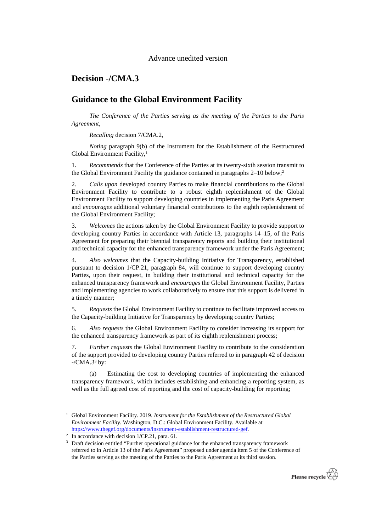## **Decision -/CMA.3**

## **Guidance to the Global Environment Facility**

*The Conference of the Parties serving as the meeting of the Parties to the Paris Agreement*,

*Recalling* decision 7/CMA.2,

*Noting* paragraph 9(b) of the Instrument for the Establishment of the Restructured Global Environment Facility,<sup>1</sup>

1. *Recommends* that the Conference of the Parties at its twenty-sixth session transmit to the Global Environment Facility the guidance contained in paragraphs 2–10 below;<sup>2</sup>

2. *Calls upon* developed country Parties to make financial contributions to the Global Environment Facility to contribute to a robust eighth replenishment of the Global Environment Facility to support developing countries in implementing the Paris Agreement and *encourages* additional voluntary financial contributions to the eighth replenishment of the Global Environment Facility;

3. *Welcomes* the actions taken by the Global Environment Facility to provide support to developing country Parties in accordance with Article 13, paragraphs 14–15, of the Paris Agreement for preparing their biennial transparency reports and building their institutional and technical capacity for the enhanced transparency framework under the Paris Agreement;

4. *Also welcomes* that the Capacity-building Initiative for Transparency, established pursuant to decision 1/CP.21, paragraph 84, will continue to support developing country Parties, upon their request, in building their institutional and technical capacity for the enhanced transparency framework and *encourages* the Global Environment Facility, Parties and implementing agencies to work collaboratively to ensure that this support is delivered in a timely manner;

5. *Requests* the Global Environment Facility to continue to facilitate improved access to the Capacity-building Initiative for Transparency by developing country Parties;

6. *Also requests* the Global Environment Facility to consider increasing its support for the enhanced transparency framework as part of its eighth replenishment process;

7. *Further requests* the Global Environment Facility to contribute to the consideration of the support provided to developing country Parties referred to in paragraph 42 of decision  $-$ /CMA.3 $3$  by:

(a) Estimating the cost to developing countries of implementing the enhanced transparency framework, which includes establishing and enhancing a reporting system, as well as the full agreed cost of reporting and the cost of capacity-building for reporting;

1

<sup>&</sup>lt;sup>3</sup> Draft decision entitled "Further operational guidance for the enhanced transparency framework referred to in Article 13 of the Paris Agreement" proposed under agenda item 5 of the Conference of the Parties serving as the meeting of the Parties to the Paris Agreement at its third session.



<sup>1</sup> Global Environment Facility. 2019. *Instrument for the Establishment of the Restructured Global Environment Facility*. Washington, D.C.: Global Environment Facility. Available at [https://www.thegef.org/documents/instrument-establishment-restructured-gef.](https://www.thegef.org/documents/instrument-establishment-restructured-gef) 

<sup>&</sup>lt;sup>2</sup> In accordance with decision 1/CP.21, para. 61.